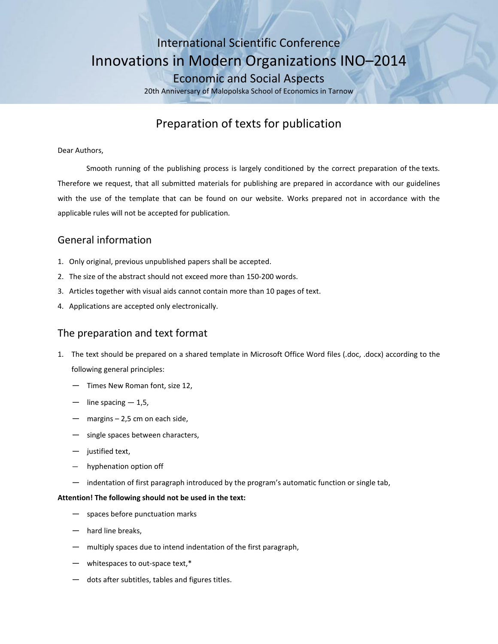# International Scientific Conference Innovations in Modern Organizations INO–2014 Economic and Social Aspects

20th Anniversary of Malopolska School of Economics in Tarnow

# Preparation of texts for publication

### Dear Authors,

Smooth running of the publishing process is largely conditioned by the correct preparation of the texts. Therefore we request, that all submitted materials for publishing are prepared in accordance with our guidelines with the use of the template that can be found on our website. Works prepared not in accordance with the applicable rules will not be accepted for publication*.*

# General information

- 1. Only original, previous unpublished papers shall be accepted.
- 2. The size of the abstract should not exceed more than 150-200 words.
- 3. Articles together with visual aids cannot contain more than 10 pages of text.
- 4. Applications are accepted only electronically.

### The preparation and text format

- 1. The text should be prepared on a shared template in Microsoft Office Word files (.doc, .docx) according to the following general principles:
	- Times New Roman font, size 12,
	- line spacing  $-1,5$ ,
	- margins  $-2,5$  cm on each side,
	- single spaces between characters,
	- justified text,
	- hyphenation option off
	- indentation of first paragraph introduced by the program's automatic function or single tab,

### **Attention! The following should not be used in the text:**

- spaces before punctuation marks
- hard line breaks.
- multiply spaces due to intend indentation of the first paragraph,
- whitespaces to out-space text,\*
- dots after subtitles, tables and figures titles.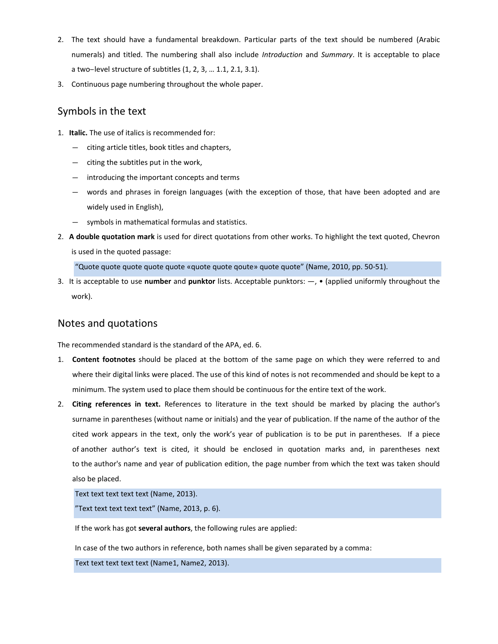- 2. The text should have a fundamental breakdown. Particular parts of the text should be numbered (Arabic numerals) and titled. The numbering shall also include *Introduction* and *Summary*. It is acceptable to place a two-level structure of subtitles (1, 2, 3, ... 1.1, 2.1, 3.1).
- 3. Continuous page numbering throughout the whole paper.

# Symbols in the text

- 1. **Italic.** The use of italics is recommended for:
	- ― citing article titles, book titles and chapters,
	- ― citing the subtitles put in the work,
	- ― introducing the important concepts and terms
	- ― words and phrases in foreign languages (with the exception of those, that have been adopted and are widely used in English),
	- ― symbols in mathematical formulas and statistics.
- 2. **A double quotation mark** is used for direct quotations from other works. To highlight the text quoted, Chevron is used in the quoted passage:

"Quote quote quote quote quote «quote quote qoute» quote quote" (Name, 2010, pp. 50-51).

3. It is acceptable to use **number** and **punktor** lists. Acceptable punktors: ―, • (applied uniformly throughout the work).

## Notes and quotations

The recommended standard is the standard of the APA, ed. 6.

- 1. **Content footnotes** should be placed at the bottom of the same page on which they were referred to and where their digital links were placed. The use of this kind of notes is not recommended and should be kept to a minimum. The system used to place them should be continuous for the entire text of the work.
- 2. **Citing references in text.** References to literature in the text should be marked by placing the author's surname in parentheses (without name or initials) and the year of publication. If the name of the author of the cited work appears in the text, only the work's year of publication is to be put in parentheses. If a piece of another author's text is cited, it should be enclosed in quotation marks and, in parentheses next to the author's name and year of publication edition, the page number from which the text was taken should also be placed.

Text text text text text (Name, 2013).

"Text text text text text" (Name, 2013, p. 6).

If the work has got **several authors**, the following rules are applied:

In case of the two authors in reference, both names shall be given separated by a comma:

Text text text text text (Name1, Name2, 2013).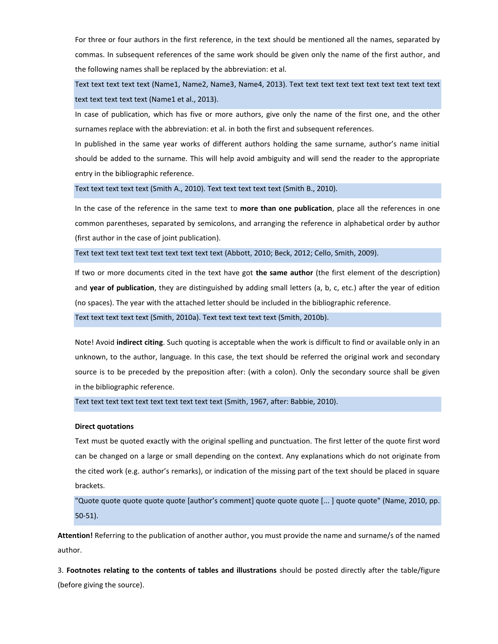For three or four authors in the first reference, in the text should be mentioned all the names, separated by commas. In subsequent references of the same work should be given only the name of the first author, and the following names shall be replaced by the abbreviation: et al.

Text text text text text (Name1, Name2, Name3, Name4, 2013). Text text text text text text text text text text text text text text text (Name1 et al., 2013).

In case of publication, which has five or more authors, give only the name of the first one, and the other surnames replace with the abbreviation: et al. in both the first and subsequent references.

In published in the same year works of different authors holding the same surname, author's name initial should be added to the surname. This will help avoid ambiguity and will send the reader to the appropriate entry in the bibliographic reference.

Text text text text text (Smith A., 2010). Text text text text text (Smith B., 2010).

In the case of the reference in the same text to **more than one publication**, place all the references in one common parentheses, separated by semicolons, and arranging the reference in alphabetical order by author (first author in the case of joint publication).

Text text text text text text text text text text (Abbott, 2010; Beck, 2012; Cello, Smith, 2009).

If two or more documents cited in the text have got **the same author** (the first element of the description) and **year of publication**, they are distinguished by adding small letters (a, b, c, etc.) after the year of edition (no spaces). The year with the attached letter should be included in the bibliographic reference.

Text text text text text (Smith, 2010a). Text text text text text (Smith, 2010b).

Note! Avoid **indirect citing**. Such quoting is acceptable when the work is difficult to find or available only in an unknown, to the author, language. In this case, the text should be referred the original work and secondary source is to be preceded by the preposition after: (with a colon). Only the secondary source shall be given in the bibliographic reference.

Text text text text text text text text text text (Smith, 1967, after: Babbie, 2010).

#### **Direct quotations**

Text must be quoted exactly with the original spelling and punctuation. The first letter of the quote first word can be changed on a large or small depending on the context. Any explanations which do not originate from the cited work (e.g. author's remarks), or indication of the missing part of the text should be placed in square brackets.

"Quote quote quote quote quote [author's comment] quote quote quote [... ] quote quote" (Name, 2010, pp. 50-51).

**Attention!** Referring to the publication of another author, you must provide the name and surname/s of the named author.

3. **Footnotes relating to the contents of tables and illustrations** should be posted directly after the table/figure (before giving the source).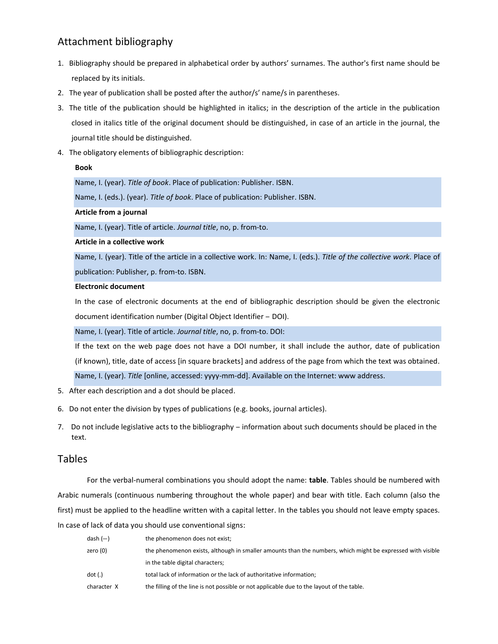# Attachment bibliography

- 1. Bibliography should be prepared in alphabetical order by authors' surnames. The author's first name should be replaced by its initials.
- 2. The year of publication shall be posted after the author/s' name/s in parentheses.
- 3. The title of the publication should be highlighted in italics; in the description of the article in the publication closed in italics title of the original document should be distinguished, in case of an article in the journal, the journal title should be distinguished.
- 4. The obligatory elements of bibliographic description:

### **Book**

Name, I. (year). *Title of book*. Place of publication: Publisher. ISBN.

Name, I. (eds.). (year). *Title of book*. Place of publication: Publisher. ISBN.

### **Article from a journal**

Name, I. (year). Title of article. *Journal title*, no, p. from-to.

### **Article in a collective work**

Name, I. (year). Title of the article in a collective work. In: Name, I. (eds.). *Title of the collective work*. Place of publication: Publisher, p. from-to. ISBN.

### **Electronic document**

In the case of electronic documents at the end of bibliographic description should be given the electronic document identification number (Digital Object Identifier - DOI).

Name, I. (year). Title of article. *Journal title*, no, p. from-to. DOI:

If the text on the web page does not have a DOI number, it shall include the author, date of publication (if known), title, date of access [in square brackets] and address of the page from which the text was obtained. Name, I. (year). *Title* [online, accessed: yyyy-mm-dd]. Available on the Internet: www address.

- 5. After each description and a dot should be placed.
- 6. Do not enter the division by types of publications (e.g. books, journal articles).
- 7. Do not include legislative acts to the bibliography information about such documents should be placed in the text.

### Tables

For the verbal-numeral combinations you should adopt the name: **table**. Tables should be numbered with Arabic numerals (continuous numbering throughout the whole paper) and bear with title. Each column (also the first) must be applied to the headline written with a capital letter. In the tables you should not leave empty spaces. In case of lack of data you should use conventional signs:

| dash $(-)$  | the phenomenon does not exist;                                                                             |
|-------------|------------------------------------------------------------------------------------------------------------|
| zero (0)    | the phenomenon exists, although in smaller amounts than the numbers, which might be expressed with visible |
|             | in the table digital characters;                                                                           |
| dot (.)     | total lack of information or the lack of authoritative information;                                        |
| character X | the filling of the line is not possible or not applicable due to the layout of the table.                  |